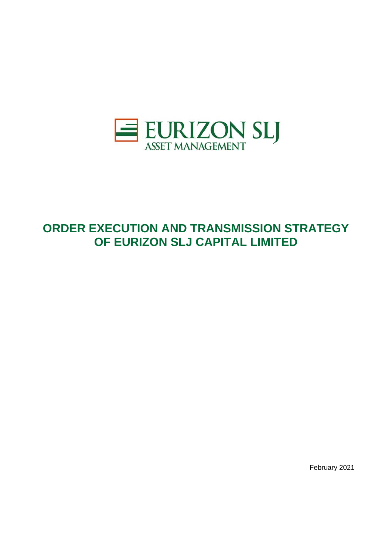

# **ORDER EXECUTION AND TRANSMISSION STRATEGY OF EURIZON SLJ CAPITAL LIMITED**

February 2021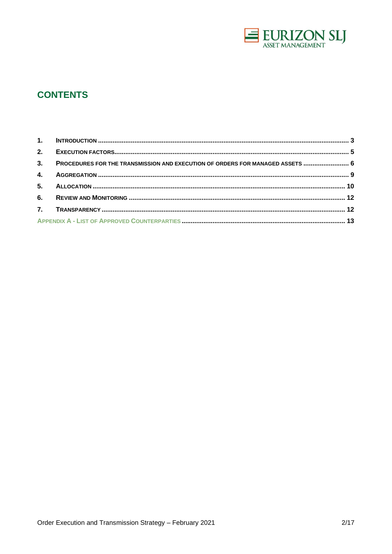

# **CONTENTS**

| 3. PROCEDURES FOR THE TRANSMISSION AND EXECUTION OF ORDERS FOR MANAGED ASSETS  6 |  |
|----------------------------------------------------------------------------------|--|
|                                                                                  |  |
|                                                                                  |  |
|                                                                                  |  |
|                                                                                  |  |
|                                                                                  |  |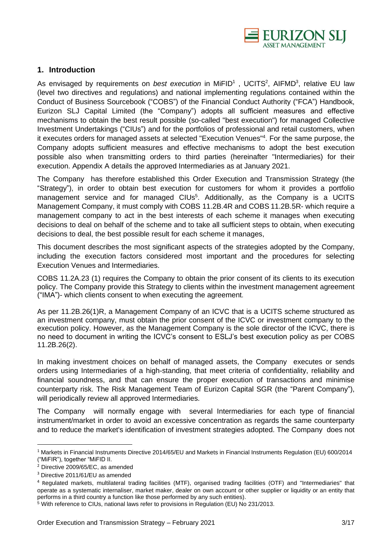

#### **1. Introduction**

As envisaged by requirements on *best execution* in MiFID<sup>1</sup>, UCITS<sup>2</sup>, AIFMD<sup>3</sup>, relative EU law (level two directives and regulations) and national implementing regulations contained within the Conduct of Business Sourcebook ("COBS") of the Financial Conduct Authority ("FCA") Handbook, Eurizon SLJ Capital Limited (the "Company") adopts all sufficient measures and effective mechanisms to obtain the best result possible (so-called "best execution") for managed Collective Investment Undertakings ("CIUs") and for the portfolios of professional and retail customers, when it executes orders for managed assets at selected "Execution Venues"<sup>4</sup> . For the same purpose, the Company adopts sufficient measures and effective mechanisms to adopt the best execution possible also when transmitting orders to third parties (hereinafter "Intermediaries) for their execution. Appendix A details the approved Intermediaries as at January 2021.

The Company has therefore established this Order Execution and Transmission Strategy (the "Strategy"), in order to obtain best execution for customers for whom it provides a portfolio management service and for managed CIUs<sup>5</sup>. Additionally, as the Company is a UCITS Management Company, it must comply with COBS 11.2B.4R and COBS 11.2B.5R- which require a management company to act in the best interests of each scheme it manages when executing decisions to deal on behalf of the scheme and to take all sufficient steps to obtain, when executing decisions to deal, the best possible result for each scheme it manages,

This document describes the most significant aspects of the strategies adopted by the Company, including the execution factors considered most important and the procedures for selecting Execution Venues and Intermediaries.

COBS 11.2A.23 (1) requires the Company to obtain the prior consent of its clients to its execution policy. The Company provide this Strategy to clients within the investment management agreement ("IMA")- which clients consent to when executing the agreement.

As per 11.2B.26(1)R, a Management Company of an ICVC that is a UCITS scheme structured as an investment company, must obtain the prior consent of the ICVC or investment company to the execution policy. However, as the Management Company is the sole director of the ICVC, there is no need to document in writing the ICVC's consent to ESLJ's best execution policy as per COBS 11.2B.26(2).

In making investment choices on behalf of managed assets, the Company executes or sends orders using Intermediaries of a high-standing, that meet criteria of confidentiality, reliability and financial soundness, and that can ensure the proper execution of transactions and minimise counterparty risk. The Risk Management Team of Eurizon Capital SGR (the "Parent Company"), will periodically review all approved Intermediaries.

The Company will normally engage with several Intermediaries for each type of financial instrument/market in order to avoid an excessive concentration as regards the same counterparty and to reduce the market's identification of investment strategies adopted. The Company does not

<sup>&</sup>lt;sup>1</sup> Markets in Financial Instruments Directive 2014/65/EU and Markets in Financial Instruments Regulation (EU) 600/2014 ("MiFIR"), together "MiFID II.

 $2$  Directive 2009/65/EC, as amended

<sup>3</sup> Directive 2011/61/EU as amended

<sup>4</sup> Regulated markets, multilateral trading facilities (MTF), organised trading facilities (OTF) and "Intermediaries" that operate as a systematic internaliser, market maker, dealer on own account or other supplier or liquidity or an entity that performs in a third country a function like those performed by any such entities).

<sup>5</sup> With reference to CIUs, national laws refer to provisions in Regulation (EU) No 231/2013.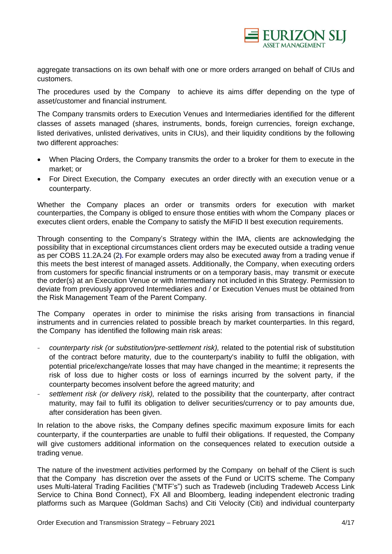

aggregate transactions on its own behalf with one or more orders arranged on behalf of CIUs and customers.

The procedures used by the Company to achieve its aims differ depending on the type of asset/customer and financial instrument.

The Company transmits orders to Execution Venues and Intermediaries identified for the different classes of assets managed (shares, instruments, bonds, foreign currencies, foreign exchange, listed derivatives, unlisted derivatives, units in CIUs), and their liquidity conditions by the following two different approaches:

- When Placing Orders, the Company transmits the order to a broker for them to execute in the market; or
- For Direct Execution, the Company executes an order directly with an execution venue or a counterparty.

Whether the Company places an order or transmits orders for execution with market counterparties, the Company is obliged to ensure those entities with whom the Company places or executes client orders, enable the Company to satisfy the MiFID II best execution requirements.

Through consenting to the Company's Strategy within the IMA, clients are acknowledging the possibility that in exceptional circumstances client orders may be executed outside a trading venue as per COBS 11.2A.24 (2**).** For example orders may also be executed away from a trading venue if this meets the best interest of managed assets. Additionally, the Company, when executing orders from customers for specific financial instruments or on a temporary basis, may transmit or execute the order(s) at an Execution Venue or with Intermediary not included in this Strategy. Permission to deviate from previously approved Intermediaries and / or Execution Venues must be obtained from the Risk Management Team of the Parent Company.

The Company operates in order to minimise the risks arising from transactions in financial instruments and in currencies related to possible breach by market counterparties. In this regard, the Company has identified the following main risk areas:

- counterparty risk (or substitution/pre-settlement risk), related to the potential risk of substitution of the contract before maturity, due to the counterparty's inability to fulfil the obligation, with potential price/exchange/rate losses that may have changed in the meantime; it represents the risk of loss due to higher costs or loss of earnings incurred by the solvent party, if the counterparty becomes insolvent before the agreed maturity; and
- settlement risk (or delivery risk), related to the possibility that the counterparty, after contract maturity, may fail to fulfil its obligation to deliver securities/currency or to pay amounts due, after consideration has been given.

In relation to the above risks, the Company defines specific maximum exposure limits for each counterparty, if the counterparties are unable to fulfil their obligations. If requested, the Company will give customers additional information on the consequences related to execution outside a trading venue.

The nature of the investment activities performed by the Company on behalf of the Client is such that the Company has discretion over the assets of the Fund or UCITS scheme. The Company uses Multi-lateral Trading Facilities ("MTF's") such as Tradeweb (including Tradeweb Access Link Service to China Bond Connect), FX All and Bloomberg, leading independent electronic trading platforms such as Marquee (Goldman Sachs) and Citi Velocity (Citi) and individual counterparty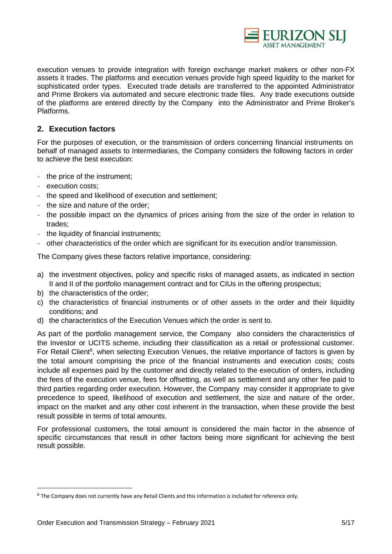

execution venues to provide integration with foreign exchange market makers or other non-FX assets it trades. The platforms and execution venues provide high speed liquidity to the market for sophisticated order types. Executed trade details are transferred to the appointed Administrator and Prime Brokers via automated and secure electronic trade files. Any trade executions outside of the platforms are entered directly by the Company into the Administrator and Prime Broker's Platforms.

# **2. Execution factors**

For the purposes of execution, or the transmission of orders concerning financial instruments on behalf of managed assets to Intermediaries, the Company considers the following factors in order to achieve the best execution:

- the price of the instrument;
- execution costs;
- the speed and likelihood of execution and settlement;
- the size and nature of the order;
- the possible impact on the dynamics of prices arising from the size of the order in relation to trades;
- the liquidity of financial instruments;
- other characteristics of the order which are significant for its execution and/or transmission.

The Company gives these factors relative importance, considering:

- a) the investment objectives, policy and specific risks of managed assets, as indicated in section II and II of the portfolio management contract and for CIUs in the offering prospectus;
- b) the characteristics of the order;
- c) the characteristics of financial instruments or of other assets in the order and their liquidity conditions; and
- d) the characteristics of the Execution Venues which the order is sent to.

As part of the portfolio management service, the Company also considers the characteristics of the Investor or UCITS scheme, including their classification as a retail or professional customer. For Retail Client<sup>6</sup>, when selecting Execution Venues, the relative importance of factors is given by the total amount comprising the price of the financial instruments and execution costs; costs include all expenses paid by the customer and directly related to the execution of orders, including the fees of the execution venue, fees for offsetting, as well as settlement and any other fee paid to third parties regarding order execution. However, the Company may consider it appropriate to give precedence to speed, likelihood of execution and settlement, the size and nature of the order, impact on the market and any other cost inherent in the transaction, when these provide the best result possible in terms of total amounts.

For professional customers, the total amount is considered the main factor in the absence of specific circumstances that result in other factors being more significant for achieving the best result possible.

<sup>&</sup>lt;sup>6</sup> The Company does not currently have any Retail Clients and this information is included for reference only.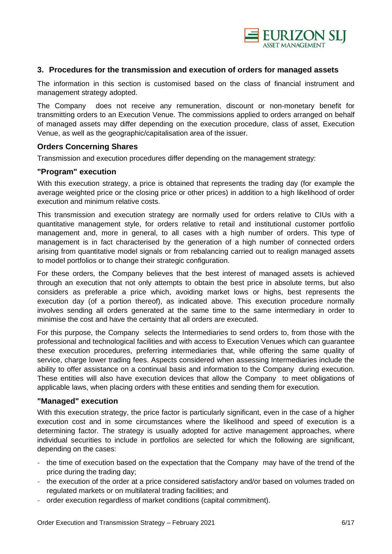

#### **3. Procedures for the transmission and execution of orders for managed assets**

The information in this section is customised based on the class of financial instrument and management strategy adopted.

The Company does not receive any remuneration, discount or non-monetary benefit for transmitting orders to an Execution Venue. The commissions applied to orders arranged on behalf of managed assets may differ depending on the execution procedure, class of asset, Execution Venue, as well as the geographic/capitalisation area of the issuer.

#### **Orders Concerning Shares**

Transmission and execution procedures differ depending on the management strategy:

#### **"Program" execution**

With this execution strategy, a price is obtained that represents the trading day (for example the average weighted price or the closing price or other prices) in addition to a high likelihood of order execution and minimum relative costs.

This transmission and execution strategy are normally used for orders relative to CIUs with a quantitative management style, for orders relative to retail and institutional customer portfolio management and, more in general, to all cases with a high number of orders. This type of management is in fact characterised by the generation of a high number of connected orders arising from quantitative model signals or from rebalancing carried out to realign managed assets to model portfolios or to change their strategic configuration.

For these orders, the Company believes that the best interest of managed assets is achieved through an execution that not only attempts to obtain the best price in absolute terms, but also considers as preferable a price which, avoiding market lows or highs, best represents the execution day (of a portion thereof), as indicated above. This execution procedure normally involves sending all orders generated at the same time to the same intermediary in order to minimise the cost and have the certainty that all orders are executed.

For this purpose, the Company selects the Intermediaries to send orders to, from those with the professional and technological facilities and with access to Execution Venues which can guarantee these execution procedures, preferring intermediaries that, while offering the same quality of service, charge lower trading fees. Aspects considered when assessing Intermediaries include the ability to offer assistance on a continual basis and information to the Company during execution. These entities will also have execution devices that allow the Company to meet obligations of applicable laws, when placing orders with these entities and sending them for execution.

#### **"Managed" execution**

With this execution strategy, the price factor is particularly significant, even in the case of a higher execution cost and in some circumstances where the likelihood and speed of execution is a determining factor. The strategy is usually adopted for active management approaches, where individual securities to include in portfolios are selected for which the following are significant, depending on the cases:

- the time of execution based on the expectation that the Company may have of the trend of the price during the trading day;
- the execution of the order at a price considered satisfactory and/or based on volumes traded on regulated markets or on multilateral trading facilities; and
- order execution regardless of market conditions (capital commitment).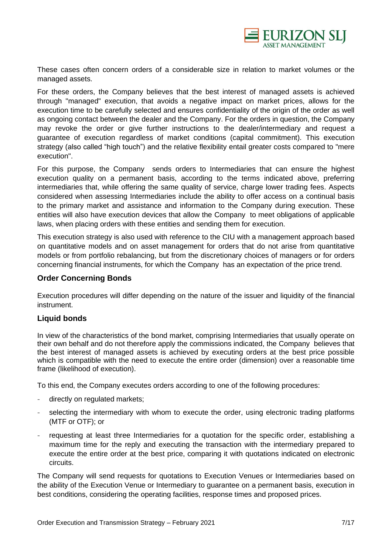

These cases often concern orders of a considerable size in relation to market volumes or the managed assets.

For these orders, the Company believes that the best interest of managed assets is achieved through "managed" execution, that avoids a negative impact on market prices, allows for the execution time to be carefully selected and ensures confidentiality of the origin of the order as well as ongoing contact between the dealer and the Company. For the orders in question, the Company may revoke the order or give further instructions to the dealer/intermediary and request a guarantee of execution regardless of market conditions (capital commitment). This execution strategy (also called "high touch") and the relative flexibility entail greater costs compared to "mere execution".

For this purpose, the Company sends orders to Intermediaries that can ensure the highest execution quality on a permanent basis, according to the terms indicated above, preferring intermediaries that, while offering the same quality of service, charge lower trading fees. Aspects considered when assessing Intermediaries include the ability to offer access on a continual basis to the primary market and assistance and information to the Company during execution. These entities will also have execution devices that allow the Company to meet obligations of applicable laws, when placing orders with these entities and sending them for execution.

This execution strategy is also used with reference to the CIU with a management approach based on quantitative models and on asset management for orders that do not arise from quantitative models or from portfolio rebalancing, but from the discretionary choices of managers or for orders concerning financial instruments, for which the Company has an expectation of the price trend.

#### **Order Concerning Bonds**

Execution procedures will differ depending on the nature of the issuer and liquidity of the financial instrument.

# **Liquid bonds**

In view of the characteristics of the bond market, comprising Intermediaries that usually operate on their own behalf and do not therefore apply the commissions indicated, the Company believes that the best interest of managed assets is achieved by executing orders at the best price possible which is compatible with the need to execute the entire order (dimension) over a reasonable time frame (likelihood of execution).

To this end, the Company executes orders according to one of the following procedures:

- directly on regulated markets;
- selecting the intermediary with whom to execute the order, using electronic trading platforms (MTF or OTF); or
- requesting at least three Intermediaries for a quotation for the specific order, establishing a maximum time for the reply and executing the transaction with the intermediary prepared to execute the entire order at the best price, comparing it with quotations indicated on electronic circuits.

The Company will send requests for quotations to Execution Venues or Intermediaries based on the ability of the Execution Venue or Intermediary to guarantee on a permanent basis, execution in best conditions, considering the operating facilities, response times and proposed prices.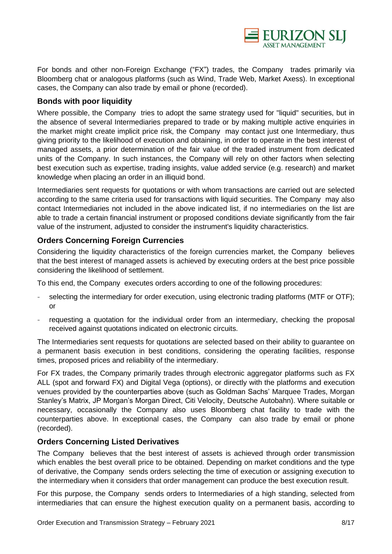

For bonds and other non-Foreign Exchange ("FX") trades, the Company trades primarily via Bloomberg chat or analogous platforms (such as Wind, Trade Web, Market Axess). In exceptional cases, the Company can also trade by email or phone (recorded).

## **Bonds with poor liquidity**

Where possible, the Company tries to adopt the same strategy used for "liquid" securities, but in the absence of several Intermediaries prepared to trade or by making multiple active enquiries in the market might create implicit price risk, the Company may contact just one Intermediary, thus giving priority to the likelihood of execution and obtaining, in order to operate in the best interest of managed assets, a prior determination of the fair value of the traded instrument from dedicated units of the Company. In such instances, the Company will rely on other factors when selecting best execution such as expertise, trading insights, value added service (e.g. research) and market knowledge when placing an order in an illiquid bond.

Intermediaries sent requests for quotations or with whom transactions are carried out are selected according to the same criteria used for transactions with liquid securities. The Company may also contact Intermediaries not included in the above indicated list, if no intermediaries on the list are able to trade a certain financial instrument or proposed conditions deviate significantly from the fair value of the instrument, adjusted to consider the instrument's liquidity characteristics.

# **Orders Concerning Foreign Currencies**

Considering the liquidity characteristics of the foreign currencies market, the Company believes that the best interest of managed assets is achieved by executing orders at the best price possible considering the likelihood of settlement.

To this end, the Company executes orders according to one of the following procedures:

- selecting the intermediary for order execution, using electronic trading platforms (MTF or OTF); or
- requesting a quotation for the individual order from an intermediary, checking the proposal received against quotations indicated on electronic circuits.

The Intermediaries sent requests for quotations are selected based on their ability to guarantee on a permanent basis execution in best conditions, considering the operating facilities, response times, proposed prices and reliability of the intermediary.

For FX trades, the Company primarily trades through electronic aggregator platforms such as FX ALL (spot and forward FX) and Digital Vega (options), or directly with the platforms and execution venues provided by the counterparties above (such as Goldman Sachs' Marquee Trades, Morgan Stanley's Matrix, JP Morgan's Morgan Direct, Citi Velocity, Deutsche Autobahn). Where suitable or necessary, occasionally the Company also uses Bloomberg chat facility to trade with the counterparties above. In exceptional cases, the Company can also trade by email or phone (recorded).

#### **Orders Concerning Listed Derivatives**

The Company believes that the best interest of assets is achieved through order transmission which enables the best overall price to be obtained. Depending on market conditions and the type of derivative, the Company sends orders selecting the time of execution or assigning execution to the intermediary when it considers that order management can produce the best execution result.

For this purpose, the Company sends orders to Intermediaries of a high standing, selected from intermediaries that can ensure the highest execution quality on a permanent basis, according to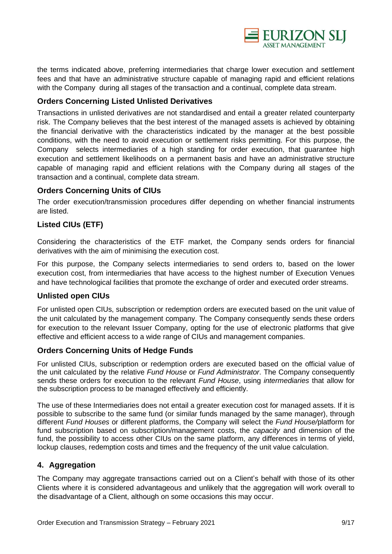

the terms indicated above, preferring intermediaries that charge lower execution and settlement fees and that have an administrative structure capable of managing rapid and efficient relations with the Company during all stages of the transaction and a continual, complete data stream.

### **Orders Concerning Listed Unlisted Derivatives**

Transactions in unlisted derivatives are not standardised and entail a greater related counterparty risk. The Company believes that the best interest of the managed assets is achieved by obtaining the financial derivative with the characteristics indicated by the manager at the best possible conditions, with the need to avoid execution or settlement risks permitting. For this purpose, the Company selects intermediaries of a high standing for order execution, that guarantee high execution and settlement likelihoods on a permanent basis and have an administrative structure capable of managing rapid and efficient relations with the Company during all stages of the transaction and a continual, complete data stream.

#### **Orders Concerning Units of CIUs**

The order execution/transmission procedures differ depending on whether financial instruments are listed.

# **Listed CIUs (ETF)**

Considering the characteristics of the ETF market, the Company sends orders for financial derivatives with the aim of minimising the execution cost.

For this purpose, the Company selects intermediaries to send orders to, based on the lower execution cost, from intermediaries that have access to the highest number of Execution Venues and have technological facilities that promote the exchange of order and executed order streams.

# **Unlisted open CIUs**

For unlisted open CIUs, subscription or redemption orders are executed based on the unit value of the unit calculated by the management company. The Company consequently sends these orders for execution to the relevant Issuer Company, opting for the use of electronic platforms that give effective and efficient access to a wide range of CIUs and management companies.

#### **Orders Concerning Units of Hedge Funds**

For unlisted CIUs, subscription or redemption orders are executed based on the official value of the unit calculated by the relative *Fund House* or *Fund Administrator*. The Company consequently sends these orders for execution to the relevant *Fund House*, using *intermediaries* that allow for the subscription process to be managed effectively and efficiently.

The use of these Intermediaries does not entail a greater execution cost for managed assets. If it is possible to subscribe to the same fund (or similar funds managed by the same manager), through different *Fund Houses* or different platforms, the Company will select the *Fund House/*platform for fund subscription based on subscription/management costs, the *capacity* and dimension of the fund, the possibility to access other CIUs on the same platform, any differences in terms of yield, lockup clauses, redemption costs and times and the frequency of the unit value calculation.

# **4. Aggregation**

The Company may aggregate transactions carried out on a Client's behalf with those of its other Clients where it is considered advantageous and unlikely that the aggregation will work overall to the disadvantage of a Client, although on some occasions this may occur.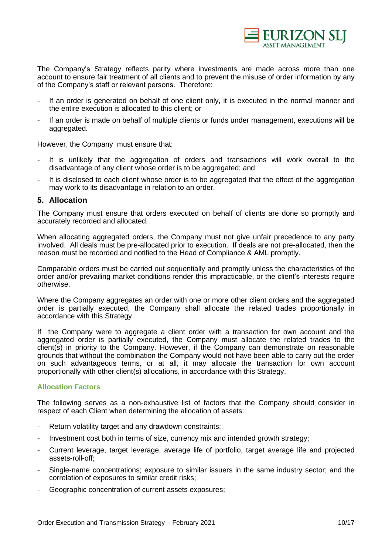

The Company's Strategy reflects parity where investments are made across more than one account to ensure fair treatment of all clients and to prevent the misuse of order information by any of the Company's staff or relevant persons. Therefore:

- If an order is generated on behalf of one client only, it is executed in the normal manner and the entire execution is allocated to this client; or
- If an order is made on behalf of multiple clients or funds under management, executions will be aggregated.

However, the Company must ensure that:

- It is unlikely that the aggregation of orders and transactions will work overall to the disadvantage of any client whose order is to be aggregated; and
- It is disclosed to each client whose order is to be aggregated that the effect of the aggregation may work to its disadvantage in relation to an order.

#### **5. Allocation**

The Company must ensure that orders executed on behalf of clients are done so promptly and accurately recorded and allocated.

When allocating aggregated orders, the Company must not give unfair precedence to any party involved. All deals must be pre-allocated prior to execution. If deals are not pre-allocated, then the reason must be recorded and notified to the Head of Compliance & AML promptly.

Comparable orders must be carried out sequentially and promptly unless the characteristics of the order and/or prevailing market conditions render this impracticable, or the client's interests require otherwise.

Where the Company aggregates an order with one or more other client orders and the aggregated order is partially executed, the Company shall allocate the related trades proportionally in accordance with this Strategy.

If the Company were to aggregate a client order with a transaction for own account and the aggregated order is partially executed, the Company must allocate the related trades to the client(s) in priority to the Company. However, if the Company can demonstrate on reasonable grounds that without the combination the Company would not have been able to carry out the order on such advantageous terms, or at all, it may allocate the transaction for own account proportionally with other client(s) allocations, in accordance with this Strategy.

#### **Allocation Factors**

The following serves as a non-exhaustive list of factors that the Company should consider in respect of each Client when determining the allocation of assets:

- Return volatility target and any drawdown constraints;
- Investment cost both in terms of size, currency mix and intended growth strategy;
- Current leverage, target leverage, average life of portfolio, target average life and projected assets-roll-off;
- Single-name concentrations; exposure to similar issuers in the same industry sector; and the correlation of exposures to similar credit risks;
- Geographic concentration of current assets exposures;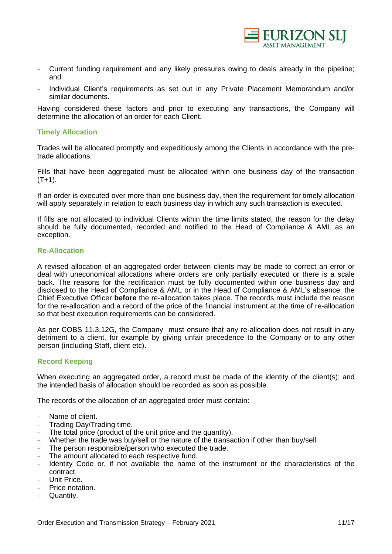

- Current funding requirement and any likely pressures owing to deals already in the pipeline; and
- Individual Client's requirements as set out in any Private Placement Memorandum and/or similar documents.

Having considered these factors and prior to executing any transactions, the Company will determine the allocation of an order for each Client.

#### **Timely Allocation**

Trades will be allocated promptly and expeditiously among the Clients in accordance with the pretrade allocations.

Fills that have been aggregated must be allocated within one business day of the transaction  $(T+1)$ .

If an order is executed over more than one business day, then the requirement for timely allocation will apply separately in relation to each business day in which any such transaction is executed.

If fills are not allocated to individual Clients within the time limits stated, the reason for the delay should be fully documented, recorded and notified to the Head of Compliance & AML as an exception.

#### **Re-Allocation**

A revised allocation of an aggregated order between clients may be made to correct an error or deal with uneconomical allocations where orders are only partially executed or there is a scale back. The reasons for the rectification must be fully documented within one business day and disclosed to the Head of Compliance & AML or in the Head of Compliance & AML's absence, the Chief Executive Officer **before** the re-allocation takes place. The records must include the reason for the re-allocation and a record of the price of the financial instrument at the time of re-allocation so that best execution requirements can be considered.

As per COBS 11.3.12G, the Company must ensure that any re-allocation does not result in any detriment to a client, for example by giving unfair precedence to the Company or to any other person (including Staff, client etc).

#### **Record Keeping**

When executing an aggregated order, a record must be made of the identity of the client(s); and the intended basis of allocation should be recorded as soon as possible.

The records of the allocation of an aggregated order must contain:

- Name of client.
- Trading Day/Trading time.
- The total price (product of the unit price and the quantity).
- Whether the trade was buy/sell or the nature of the transaction if other than buy/sell.
- The person responsible/person who executed the trade.
- The amount allocated to each respective fund.
- Identity Code or, if not available the name of the instrument or the characteristics of the contract.
- Unit Price.
- Price notation.
- Quantity.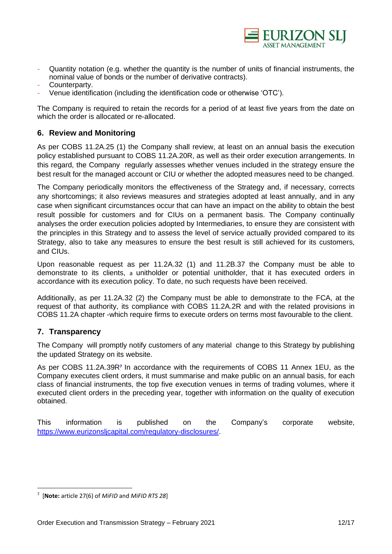

- Quantity notation (e.g. whether the quantity is the number of units of financial instruments, the nominal value of bonds or the number of derivative contracts).
- Counterparty.
- Venue identification (including the identification code or otherwise 'OTC').

The Company is required to retain the records for a period of at least five years from the date on which the order is allocated or re-allocated.

## **6. Review and Monitoring**

As per COBS 11.2A.25 (1) the Company shall review, at least on an annual basis the execution policy established pursuant to COBS 11.2A.20R, as well as their order execution arrangements. In this regard, the Company regularly assesses whether venues included in the strategy ensure the best result for the managed account or CIU or whether the adopted measures need to be changed.

The Company periodically monitors the effectiveness of the Strategy and, if necessary, corrects any shortcomings; it also reviews measures and strategies adopted at least annually, and in any case when significant circumstances occur that can have an impact on the ability to obtain the best result possible for customers and for CIUs on a permanent basis. The Company continually analyses the order execution policies adopted by Intermediaries, to ensure they are consistent with the principles in this Strategy and to assess the level of service actually provided compared to its Strategy, also to take any measures to ensure the best result is still achieved for its customers, and CIUs.

Upon reasonable request as per 11.2A.32 (1) and 11.2B.37 the Company must be able to demonstrate to its clients, a unitholder or potential unitholder, that it has executed orders in accordance with its execution policy. To date, no such requests have been received.

Additionally, as per 11.2A.32 (2) the Company must be able to demonstrate to the FCA, at the request of that authority, its compliance with COBS 11.2A.2R and with the related provisions in COBS 11.2A chapter -which require firms to execute orders on terms most favourable to the client.

# **7. Transparency**

The Company will promptly notify customers of any material change to this Strategy by publishing the updated Strategy on its website.

As per COBS 11.2A.39R**<sup>7</sup>** In accordance with the requirements of COBS 11 Annex 1EU, as the Company executes client orders, it must summarise and make public on an annual basis, for each class of financial instruments, the top five execution venues in terms of trading volumes, where it executed client orders in the preceding year, together with information on the quality of execution obtained.

This information is published on the Company's corporate website, [https://www.eurizonsljcapital.com/regulatory-disclosures/.](https://www.eurizonsljcapital.com/regulatory-disclosures/)

<sup>7</sup> [**Note:** article 27(6) of *MiFID* and *MiFID RTS 28*]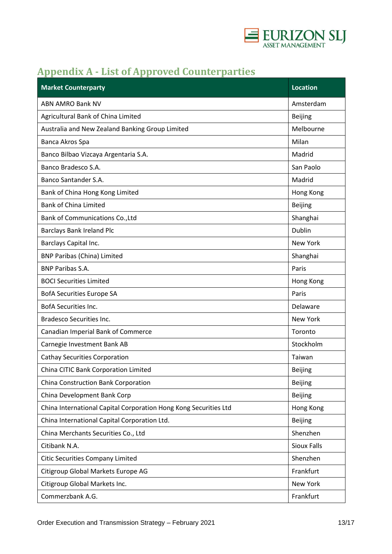

# **Appendix A - List of Approved Counterparties**

| <b>Market Counterparty</b>                                       | <b>Location</b>    |
|------------------------------------------------------------------|--------------------|
| <b>ABN AMRO Bank NV</b>                                          | Amsterdam          |
| Agricultural Bank of China Limited                               | <b>Beijing</b>     |
| Australia and New Zealand Banking Group Limited                  | Melbourne          |
| Banca Akros Spa                                                  | Milan              |
| Banco Bilbao Vizcaya Argentaria S.A.                             | Madrid             |
| Banco Bradesco S.A.                                              | San Paolo          |
| Banco Santander S.A.                                             | Madrid             |
| Bank of China Hong Kong Limited                                  | Hong Kong          |
| <b>Bank of China Limited</b>                                     | Beijing            |
| Bank of Communications Co., Ltd                                  | Shanghai           |
| <b>Barclays Bank Ireland Plc</b>                                 | Dublin             |
| Barclays Capital Inc.                                            | New York           |
| <b>BNP Paribas (China) Limited</b>                               | Shanghai           |
| <b>BNP Paribas S.A.</b>                                          | Paris              |
| <b>BOCI Securities Limited</b>                                   | Hong Kong          |
| <b>BofA Securities Europe SA</b>                                 | Paris              |
| <b>BofA Securities Inc.</b>                                      | Delaware           |
| <b>Bradesco Securities Inc.</b>                                  | New York           |
| Canadian Imperial Bank of Commerce                               | Toronto            |
| Carnegie Investment Bank AB                                      | Stockholm          |
| <b>Cathay Securities Corporation</b>                             | Taiwan             |
| China CITIC Bank Corporation Limited                             | <b>Beijing</b>     |
| China Construction Bank Corporation                              | <b>Beijing</b>     |
| China Development Bank Corp                                      | <b>Beijing</b>     |
| China International Capital Corporation Hong Kong Securities Ltd | Hong Kong          |
| China International Capital Corporation Ltd.                     | <b>Beijing</b>     |
| China Merchants Securities Co., Ltd                              | Shenzhen           |
| Citibank N.A.                                                    | <b>Sioux Falls</b> |
| <b>Citic Securities Company Limited</b>                          | Shenzhen           |
| Citigroup Global Markets Europe AG                               | Frankfurt          |
| Citigroup Global Markets Inc.                                    | New York           |
| Commerzbank A.G.                                                 | Frankfurt          |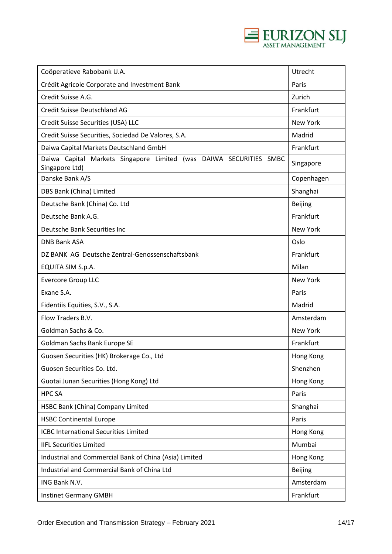

| Coöperatieve Rabobank U.A.                                                           | Utrecht        |
|--------------------------------------------------------------------------------------|----------------|
| Crédit Agricole Corporate and Investment Bank                                        | Paris          |
| Credit Suisse A.G.                                                                   | Zurich         |
| Credit Suisse Deutschland AG                                                         | Frankfurt      |
| Credit Suisse Securities (USA) LLC                                                   | New York       |
| Credit Suisse Securities, Sociedad De Valores, S.A.                                  | Madrid         |
| Daiwa Capital Markets Deutschland GmbH                                               | Frankfurt      |
| Daiwa Capital Markets Singapore Limited (was DAIWA SECURITIES SMBC<br>Singapore Ltd) | Singapore      |
| Danske Bank A/S                                                                      | Copenhagen     |
| DBS Bank (China) Limited                                                             | Shanghai       |
| Deutsche Bank (China) Co. Ltd                                                        | <b>Beijing</b> |
| Deutsche Bank A.G.                                                                   | Frankfurt      |
| Deutsche Bank Securities Inc                                                         | New York       |
| <b>DNB Bank ASA</b>                                                                  | Oslo           |
| DZ BANK AG Deutsche Zentral-Genossenschaftsbank                                      | Frankfurt      |
| EQUITA SIM S.p.A.                                                                    | Milan          |
| <b>Evercore Group LLC</b>                                                            | New York       |
| Exane S.A.                                                                           | Paris          |
| Fidentiis Equities, S.V., S.A.                                                       | Madrid         |
| Flow Traders B.V.                                                                    | Amsterdam      |
| Goldman Sachs & Co.                                                                  | New York       |
| Goldman Sachs Bank Europe SE                                                         | Frankfurt      |
| Guosen Securities (HK) Brokerage Co., Ltd                                            | Hong Kong      |
| Guosen Securities Co. Ltd.                                                           | Shenzhen       |
| Guotai Junan Securities (Hong Kong) Ltd                                              | Hong Kong      |
| <b>HPC SA</b>                                                                        | Paris          |
| HSBC Bank (China) Company Limited                                                    | Shanghai       |
| <b>HSBC Continental Europe</b>                                                       | Paris          |
| <b>ICBC International Securities Limited</b>                                         | Hong Kong      |
| <b>IIFL Securities Limited</b>                                                       | Mumbai         |
| Industrial and Commercial Bank of China (Asia) Limited                               | Hong Kong      |
| Industrial and Commercial Bank of China Ltd                                          | <b>Beijing</b> |
| ING Bank N.V.                                                                        | Amsterdam      |
| <b>Instinet Germany GMBH</b>                                                         | Frankfurt      |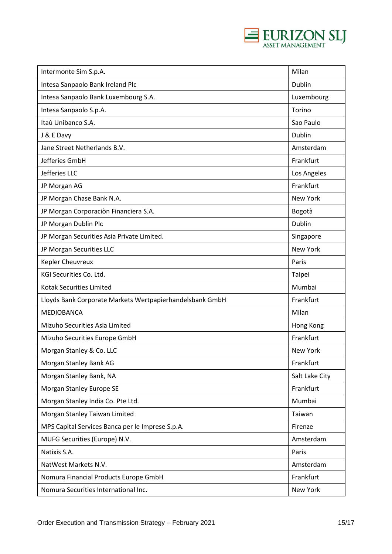

| Intermonte Sim S.p.A.                                    | Milan          |
|----------------------------------------------------------|----------------|
| Intesa Sanpaolo Bank Ireland Plc                         | Dublin         |
| Intesa Sanpaolo Bank Luxembourg S.A.                     | Luxembourg     |
| Intesa Sanpaolo S.p.A.                                   | Torino         |
| Itaù Unibanco S.A.                                       | Sao Paulo      |
| J & E Davy                                               | Dublin         |
| Jane Street Netherlands B.V.                             | Amsterdam      |
| Jefferies GmbH                                           | Frankfurt      |
| Jefferies LLC                                            | Los Angeles    |
| JP Morgan AG                                             | Frankfurt      |
| JP Morgan Chase Bank N.A.                                | New York       |
| JP Morgan Corporaciòn Financiera S.A.                    | Bogotà         |
| JP Morgan Dublin Plc                                     | Dublin         |
| JP Morgan Securities Asia Private Limited.               | Singapore      |
| JP Morgan Securities LLC                                 | New York       |
| Kepler Cheuvreux                                         | Paris          |
| KGI Securities Co. Ltd.                                  | Taipei         |
| Kotak Securities Limited                                 | Mumbai         |
| Lloyds Bank Corporate Markets Wertpapierhandelsbank GmbH | Frankfurt      |
| MEDIOBANCA                                               | Milan          |
| Mizuho Securities Asia Limited                           | Hong Kong      |
| Mizuho Securities Europe GmbH                            | Frankfurt      |
| Morgan Stanley & Co. LLC                                 | New York       |
| Morgan Stanley Bank AG                                   | Frankfurt      |
| Morgan Stanley Bank, NA                                  | Salt Lake City |
| Morgan Stanley Europe SE                                 | Frankfurt      |
| Morgan Stanley India Co. Pte Ltd.                        | Mumbai         |
| Morgan Stanley Taiwan Limited                            | Taiwan         |
| MPS Capital Services Banca per le Imprese S.p.A.         | Firenze        |
| MUFG Securities (Europe) N.V.                            | Amsterdam      |
| Natixis S.A.                                             | Paris          |
| NatWest Markets N.V.                                     | Amsterdam      |
| Nomura Financial Products Europe GmbH                    | Frankfurt      |
| Nomura Securities International Inc.                     | New York       |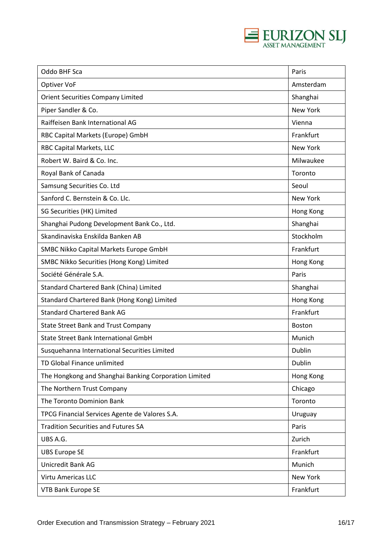

| Oddo BHF Sca                                          | Paris           |
|-------------------------------------------------------|-----------------|
| Optiver VoF                                           | Amsterdam       |
| <b>Orient Securities Company Limited</b>              | Shanghai        |
| Piper Sandler & Co.                                   | <b>New York</b> |
| Raiffeisen Bank International AG                      | Vienna          |
| RBC Capital Markets (Europe) GmbH                     | Frankfurt       |
| RBC Capital Markets, LLC                              | New York        |
| Robert W. Baird & Co. Inc.                            | Milwaukee       |
| Royal Bank of Canada                                  | Toronto         |
| Samsung Securities Co. Ltd                            | Seoul           |
| Sanford C. Bernstein & Co. Llc.                       | New York        |
| SG Securities (HK) Limited                            | Hong Kong       |
| Shanghai Pudong Development Bank Co., Ltd.            | Shanghai        |
| Skandinaviska Enskilda Banken AB                      | Stockholm       |
| SMBC Nikko Capital Markets Europe GmbH                | Frankfurt       |
| SMBC Nikko Securities (Hong Kong) Limited             | Hong Kong       |
| Société Générale S.A.                                 | Paris           |
| Standard Chartered Bank (China) Limited               | Shanghai        |
| Standard Chartered Bank (Hong Kong) Limited           | Hong Kong       |
| <b>Standard Chartered Bank AG</b>                     | Frankfurt       |
| <b>State Street Bank and Trust Company</b>            | <b>Boston</b>   |
| State Street Bank International GmbH                  | Munich          |
| Susquehanna International Securities Limited          | Dublin          |
| TD Global Finance unlimited                           | Dublin          |
| The Hongkong and Shanghai Banking Corporation Limited | Hong Kong       |
| The Northern Trust Company                            | Chicago         |
| The Toronto Dominion Bank                             | Toronto         |
| TPCG Financial Services Agente de Valores S.A.        | Uruguay         |
| <b>Tradition Securities and Futures SA</b>            | Paris           |
| UBS A.G.                                              | Zurich          |
| <b>UBS Europe SE</b>                                  | Frankfurt       |
| <b>Unicredit Bank AG</b>                              | Munich          |
| Virtu Americas LLC                                    | New York        |
| <b>VTB Bank Europe SE</b>                             | Frankfurt       |